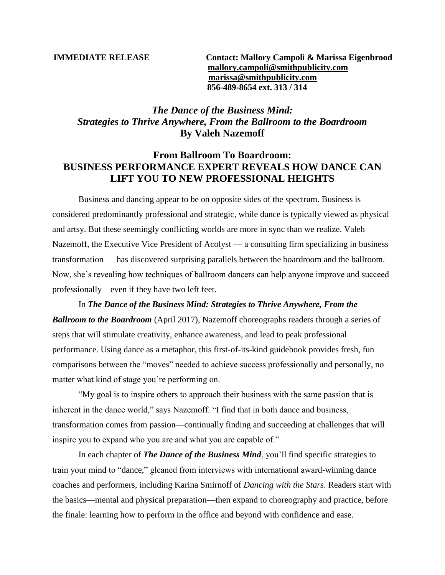**IMMEDIATE RELEASE Contact: Mallory Campoli & Marissa Eigenbrood [mallory.campoli@smithpublicity.com](mailto:mallory.campoli@smithpublicity.com) [marissa@smithpublicity.com](mailto:marissa@smithpublicity.com) 856-489-8654 ext. 313 / 314**

## *The Dance of the Business Mind: Strategies to Thrive Anywhere, From the Ballroom to the Boardroom* **By Valeh Nazemoff**

## **From Ballroom To Boardroom: BUSINESS PERFORMANCE EXPERT REVEALS HOW DANCE CAN LIFT YOU TO NEW PROFESSIONAL HEIGHTS**

Business and dancing appear to be on opposite sides of the spectrum. Business is considered predominantly professional and strategic, while dance is typically viewed as physical and artsy. But these seemingly conflicting worlds are more in sync than we realize. Valeh Nazemoff, the Executive Vice President of Acolyst — a consulting firm specializing in business transformation — has discovered surprising parallels between the boardroom and the ballroom. Now, she's revealing how techniques of ballroom dancers can help anyone improve and succeed professionally—even if they have two left feet.

In *The Dance of the Business Mind: Strategies to Thrive Anywhere, From the Ballroom to the Boardroom* (April 2017), Nazemoff choreographs readers through a series of steps that will stimulate creativity, enhance awareness, and lead to peak professional performance. Using dance as a metaphor, this first-of-its-kind guidebook provides fresh, fun comparisons between the "moves" needed to achieve success professionally and personally, no matter what kind of stage you're performing on.

"My goal is to inspire others to approach their business with the same passion that is inherent in the dance world," says Nazemoff. "I find that in both dance and business, transformation comes from passion—continually finding and succeeding at challenges that will inspire you to expand who you are and what you are capable of."

In each chapter of *The Dance of the Business Mind*, you'll find specific strategies to train your mind to "dance," gleaned from interviews with international award-winning dance coaches and performers, including Karina Smirnoff of *Dancing with the Stars*. Readers start with the basics—mental and physical preparation—then expand to choreography and practice, before the finale: learning how to perform in the office and beyond with confidence and ease.